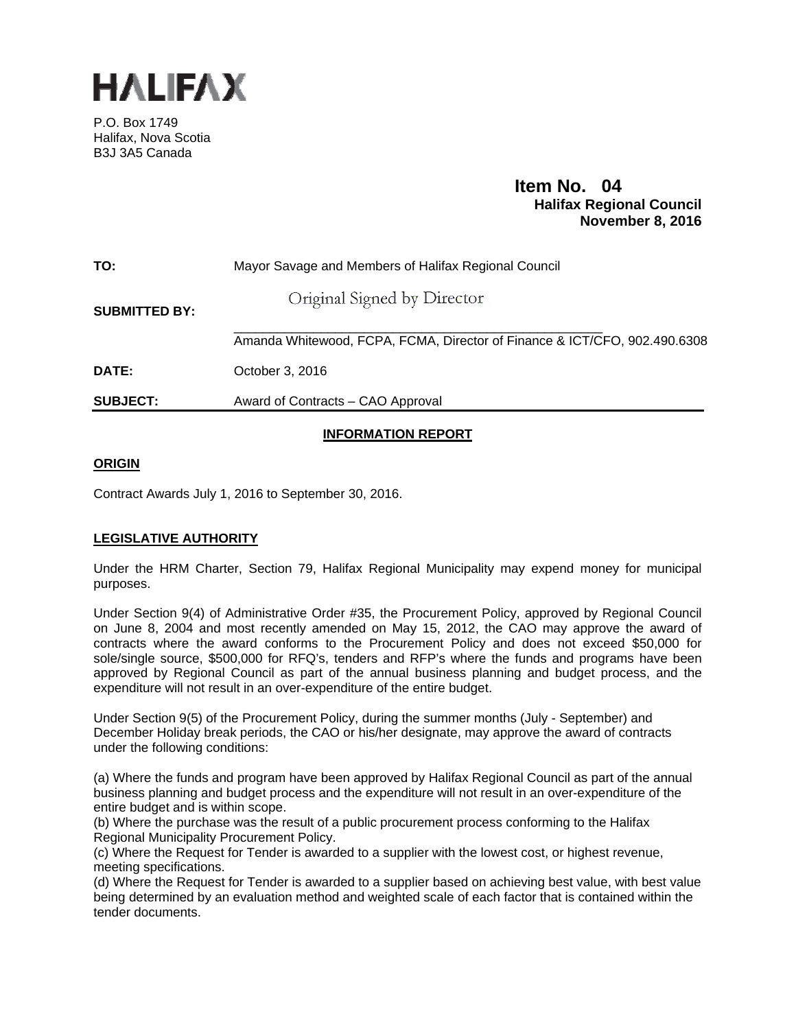

P.O. Box 1749 Halifax, Nova Scotia B3J 3A5 Canada

# **Item No. 04**<br>**Halifax Regional Council November 8, 2016**

| TO:                  | Mayor Savage and Members of Halifax Regional Council                      |
|----------------------|---------------------------------------------------------------------------|
| <b>SUBMITTED BY:</b> | Original Signed by Director                                               |
|                      | Amanda Whitewood, FCPA, FCMA, Director of Finance & ICT/CFO, 902.490.6308 |
| DATE:                | October 3, 2016                                                           |
| <b>SUBJECT:</b>      | Award of Contracts – CAO Approval                                         |

## **INFORMATION REPORT**

## **ORIGIN**

Contract Awards July 1, 2016 to September 30, 2016.

## **LEGISLATIVE AUTHORITY**

Under the HRM Charter, Section 79, Halifax Regional Municipality may expend money for municipal purposes.

Under Section 9(4) of Administrative Order #35, the Procurement Policy, approved by Regional Council on June 8, 2004 and most recently amended on May 15, 2012, the CAO may approve the award of contracts where the award conforms to the Procurement Policy and does not exceed \$50,000 for sole/single source, \$500,000 for RFQ's, tenders and RFP's where the funds and programs have been approved by Regional Council as part of the annual business planning and budget process, and the expenditure will not result in an over-expenditure of the entire budget.

Under Section 9(5) of the Procurement Policy, during the summer months (July - September) and December Holiday break periods, the CAO or his/her designate, may approve the award of contracts under the following conditions:

(a) Where the funds and program have been approved by Halifax Regional Council as part of the annual business planning and budget process and the expenditure will not result in an over-expenditure of the entire budget and is within scope.

(b) Where the purchase was the result of a public procurement process conforming to the Halifax Regional Municipality Procurement Policy.

(c) Where the Request for Tender is awarded to a supplier with the lowest cost, or highest revenue, meeting specifications.

(d) Where the Request for Tender is awarded to a supplier based on achieving best value, with best value being determined by an evaluation method and weighted scale of each factor that is contained within the tender documents.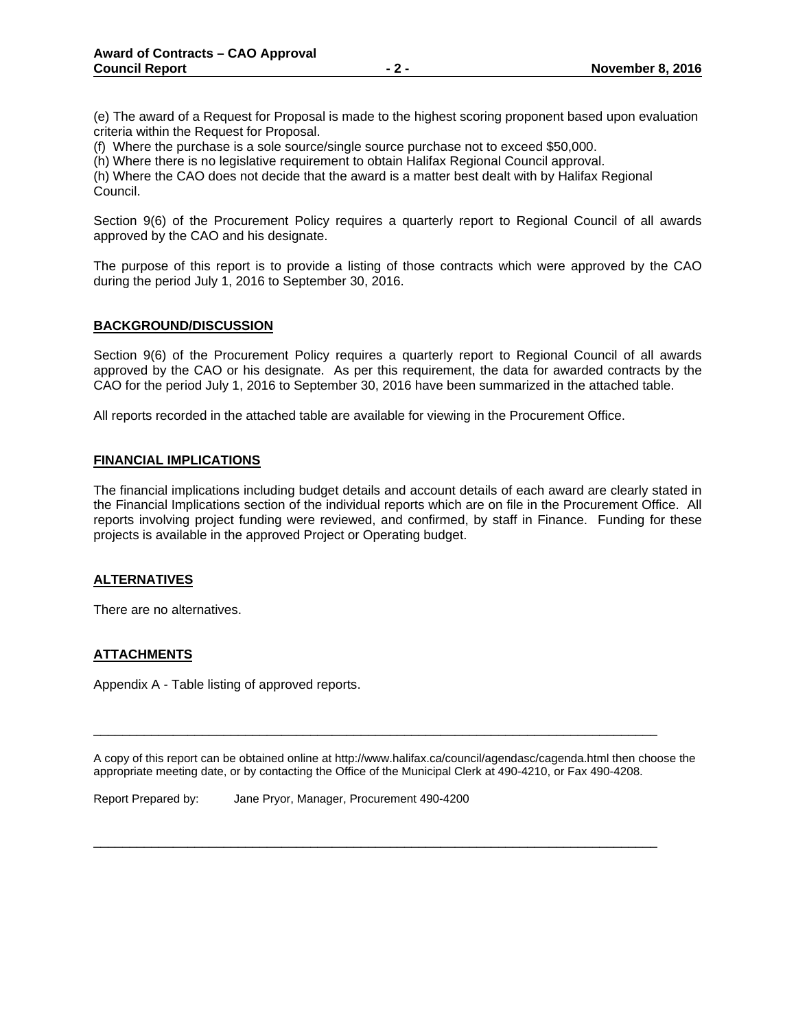(e) The award of a Request for Proposal is made to the highest scoring proponent based upon evaluation criteria within the Request for Proposal.

(f) Where the purchase is a sole source/single source purchase not to exceed \$50,000.

(h) Where there is no legislative requirement to obtain Halifax Regional Council approval.

(h) Where the CAO does not decide that the award is a matter best dealt with by Halifax Regional Council.

Section 9(6) of the Procurement Policy requires a quarterly report to Regional Council of all awards approved by the CAO and his designate.

The purpose of this report is to provide a listing of those contracts which were approved by the CAO during the period July 1, 2016 to September 30, 2016.

#### **BACKGROUND/DISCUSSION**

Section 9(6) of the Procurement Policy requires a quarterly report to Regional Council of all awards approved by the CAO or his designate. As per this requirement, the data for awarded contracts by the CAO for the period July 1, 2016 to September 30, 2016 have been summarized in the attached table.

All reports recorded in the attached table are available for viewing in the Procurement Office.

#### **FINANCIAL IMPLICATIONS**

The financial implications including budget details and account details of each award are clearly stated in the Financial Implications section of the individual reports which are on file in the Procurement Office. All reports involving project funding were reviewed, and confirmed, by staff in Finance. Funding for these projects is available in the approved Project or Operating budget.

#### **ALTERNATIVES**

There are no alternatives.

## **ATTACHMENTS**

Appendix A - Table listing of approved reports.

A copy of this report can be obtained online at http://www.halifax.ca/council/agendasc/cagenda.html then choose the appropriate meeting date, or by contacting the Office of the Municipal Clerk at 490-4210, or Fax 490-4208.

\_\_\_\_\_\_\_\_\_\_\_\_\_\_\_\_\_\_\_\_\_\_\_\_\_\_\_\_\_\_\_\_\_\_\_\_\_\_\_\_\_\_\_\_\_\_\_\_\_\_\_\_\_\_\_\_\_\_\_\_\_\_\_\_\_\_\_\_\_\_\_\_\_\_\_\_\_\_

\_\_\_\_\_\_\_\_\_\_\_\_\_\_\_\_\_\_\_\_\_\_\_\_\_\_\_\_\_\_\_\_\_\_\_\_\_\_\_\_\_\_\_\_\_\_\_\_\_\_\_\_\_\_\_\_\_\_\_\_\_\_\_\_\_\_\_\_\_\_\_\_\_\_\_\_\_\_

Report Prepared by: Jane Pryor, Manager, Procurement 490-4200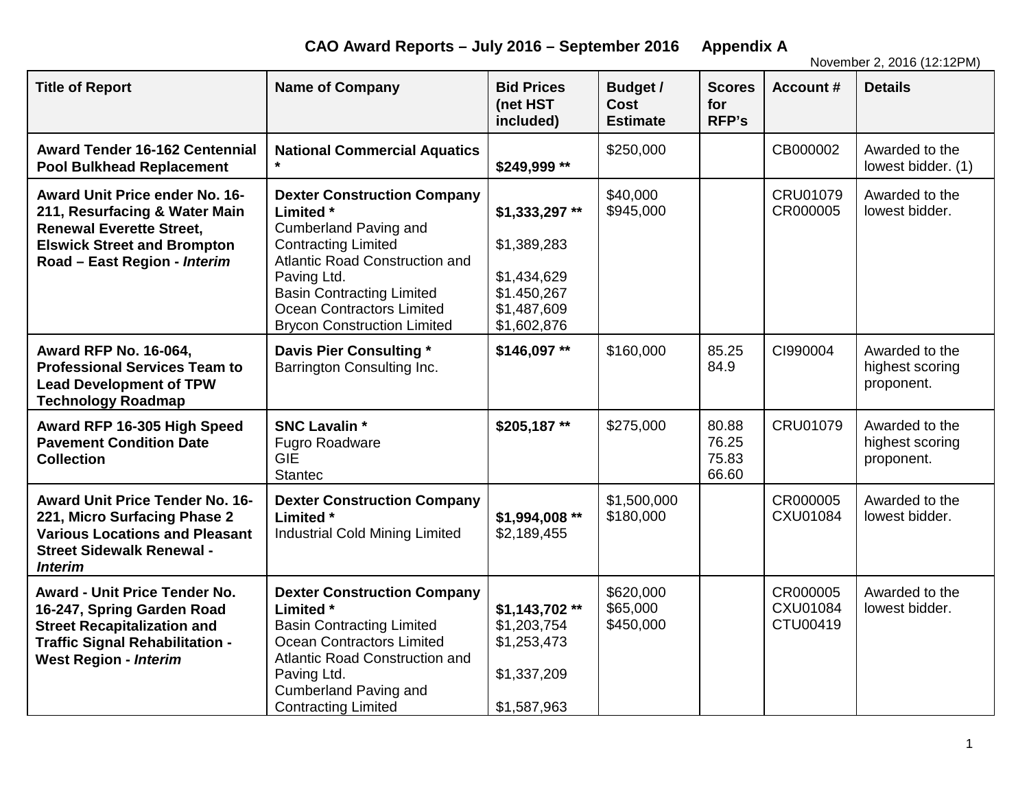**CAO Award Reports – July 2016 – September 2016 Appendix A**

November 2, 2016 (12:12PM)

| <b>Title of Report</b>                                                                                                                                                             | <b>Name of Company</b>                                                                                                                                                                                                                                                                     | <b>Bid Prices</b><br>(net HST<br>included)                                               | Budget /<br><b>Cost</b><br><b>Estimate</b> | <b>Scores</b><br>for<br>RFP's    | <b>Account #</b>                 | <b>Details</b>                                  |
|------------------------------------------------------------------------------------------------------------------------------------------------------------------------------------|--------------------------------------------------------------------------------------------------------------------------------------------------------------------------------------------------------------------------------------------------------------------------------------------|------------------------------------------------------------------------------------------|--------------------------------------------|----------------------------------|----------------------------------|-------------------------------------------------|
| <b>Award Tender 16-162 Centennial</b><br><b>Pool Bulkhead Replacement</b>                                                                                                          | <b>National Commercial Aquatics</b>                                                                                                                                                                                                                                                        | \$249,999 **                                                                             | \$250,000                                  |                                  | CB000002                         | Awarded to the<br>lowest bidder. (1)            |
| Award Unit Price ender No. 16-<br>211, Resurfacing & Water Main<br><b>Renewal Everette Street,</b><br><b>Elswick Street and Brompton</b><br>Road - East Region - Interim           | <b>Dexter Construction Company</b><br><b>Limited</b> *<br><b>Cumberland Paving and</b><br><b>Contracting Limited</b><br><b>Atlantic Road Construction and</b><br>Paving Ltd.<br><b>Basin Contracting Limited</b><br><b>Ocean Contractors Limited</b><br><b>Brycon Construction Limited</b> | \$1,333,297**<br>\$1,389,283<br>\$1,434,629<br>\$1.450,267<br>\$1,487,609<br>\$1,602,876 | \$40,000<br>\$945,000                      |                                  | CRU01079<br>CR000005             | Awarded to the<br>lowest bidder.                |
| <b>Award RFP No. 16-064,</b><br><b>Professional Services Team to</b><br><b>Lead Development of TPW</b><br><b>Technology Roadmap</b>                                                | Davis Pier Consulting *<br>Barrington Consulting Inc.                                                                                                                                                                                                                                      | \$146,097**                                                                              | \$160,000                                  | 85.25<br>84.9                    | CI990004                         | Awarded to the<br>highest scoring<br>proponent. |
| Award RFP 16-305 High Speed<br><b>Pavement Condition Date</b><br><b>Collection</b>                                                                                                 | <b>SNC Lavalin *</b><br><b>Fugro Roadware</b><br><b>GIE</b><br><b>Stantec</b>                                                                                                                                                                                                              | \$205,187**                                                                              | \$275,000                                  | 80.88<br>76.25<br>75.83<br>66.60 | CRU01079                         | Awarded to the<br>highest scoring<br>proponent. |
| <b>Award Unit Price Tender No. 16-</b><br>221, Micro Surfacing Phase 2<br><b>Various Locations and Pleasant</b><br><b>Street Sidewalk Renewal -</b><br><b>Interim</b>              | <b>Dexter Construction Company</b><br>Limited *<br><b>Industrial Cold Mining Limited</b>                                                                                                                                                                                                   | \$1,994,008 **<br>\$2,189,455                                                            | \$1,500,000<br>\$180,000                   |                                  | CR000005<br>CXU01084             | Awarded to the<br>lowest bidder.                |
| <b>Award - Unit Price Tender No.</b><br>16-247, Spring Garden Road<br><b>Street Recapitalization and</b><br><b>Traffic Signal Rehabilitation -</b><br><b>West Region - Interim</b> | <b>Dexter Construction Company</b><br><b>Limited</b> *<br><b>Basin Contracting Limited</b><br>Ocean Contractors Limited<br><b>Atlantic Road Construction and</b><br>Paving Ltd.<br><b>Cumberland Paving and</b><br><b>Contracting Limited</b>                                              | \$1,143,702**<br>\$1,203,754<br>\$1,253,473<br>\$1,337,209<br>\$1,587,963                | \$620,000<br>\$65,000<br>\$450,000         |                                  | CR000005<br>CXU01084<br>CTU00419 | Awarded to the<br>lowest bidder.                |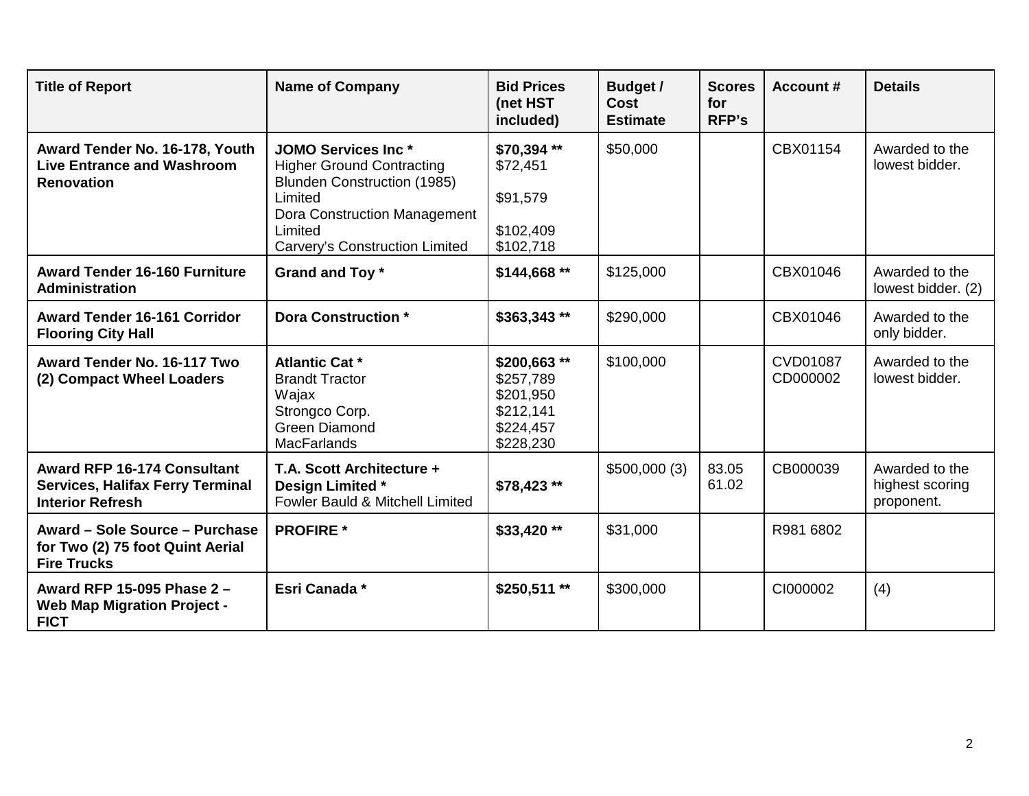| <b>Title of Report</b>                                                                                   | <b>Name of Company</b>                                                                                                                                                                       | <b>Bid Prices</b><br>(net HST<br>included)                                   | <b>Budget /</b><br><b>Cost</b><br><b>Estimate</b> | <b>Scores</b><br>for<br><b>RFP's</b> | <b>Account #</b>     | <b>Details</b>                                  |
|----------------------------------------------------------------------------------------------------------|----------------------------------------------------------------------------------------------------------------------------------------------------------------------------------------------|------------------------------------------------------------------------------|---------------------------------------------------|--------------------------------------|----------------------|-------------------------------------------------|
| Award Tender No. 16-178, Youth<br><b>Live Entrance and Washroom</b><br><b>Renovation</b>                 | <b>JOMO Services Inc *</b><br><b>Higher Ground Contracting</b><br><b>Blunden Construction (1985)</b><br>Limited<br>Dora Construction Management<br>Limited<br>Carvery's Construction Limited | \$70,394 **<br>\$72,451<br>\$91,579<br>\$102,409<br>\$102,718                | \$50,000                                          |                                      | CBX01154             | Awarded to the<br>lowest bidder.                |
| <b>Award Tender 16-160 Furniture</b><br><b>Administration</b>                                            | Grand and Toy *                                                                                                                                                                              | \$144,668**                                                                  | \$125,000                                         |                                      | CBX01046             | Awarded to the<br>lowest bidder. (2)            |
| <b>Award Tender 16-161 Corridor</b><br><b>Flooring City Hall</b>                                         | <b>Dora Construction *</b>                                                                                                                                                                   | \$363,343**                                                                  | \$290,000                                         |                                      | CBX01046             | Awarded to the<br>only bidder.                  |
| Award Tender No. 16-117 Two<br>(2) Compact Wheel Loaders                                                 | <b>Atlantic Cat *</b><br><b>Brandt Tractor</b><br>Wajax<br>Strongco Corp.<br><b>Green Diamond</b><br><b>MacFarlands</b>                                                                      | \$200,663**<br>\$257,789<br>\$201,950<br>\$212,141<br>\$224,457<br>\$228,230 | \$100,000                                         |                                      | CVD01087<br>CD000002 | Awarded to the<br>lowest bidder.                |
| <b>Award RFP 16-174 Consultant</b><br><b>Services, Halifax Ferry Terminal</b><br><b>Interior Refresh</b> | T.A. Scott Architecture +<br>Design Limited *<br>Fowler Bauld & Mitchell Limited                                                                                                             | \$78,423 **                                                                  | \$500,000(3)                                      | 83.05<br>61.02                       | CB000039             | Awarded to the<br>highest scoring<br>proponent. |
| Award - Sole Source - Purchase<br>for Two (2) 75 foot Quint Aerial<br><b>Fire Trucks</b>                 | <b>PROFIRE</b> *                                                                                                                                                                             | \$33,420 **                                                                  | \$31,000                                          |                                      | R981 6802            |                                                 |
| Award RFP 15-095 Phase 2 -<br><b>Web Map Migration Project -</b><br><b>FICT</b>                          | Esri Canada *                                                                                                                                                                                | \$250,511**                                                                  | \$300,000                                         |                                      | CI000002             | (4)                                             |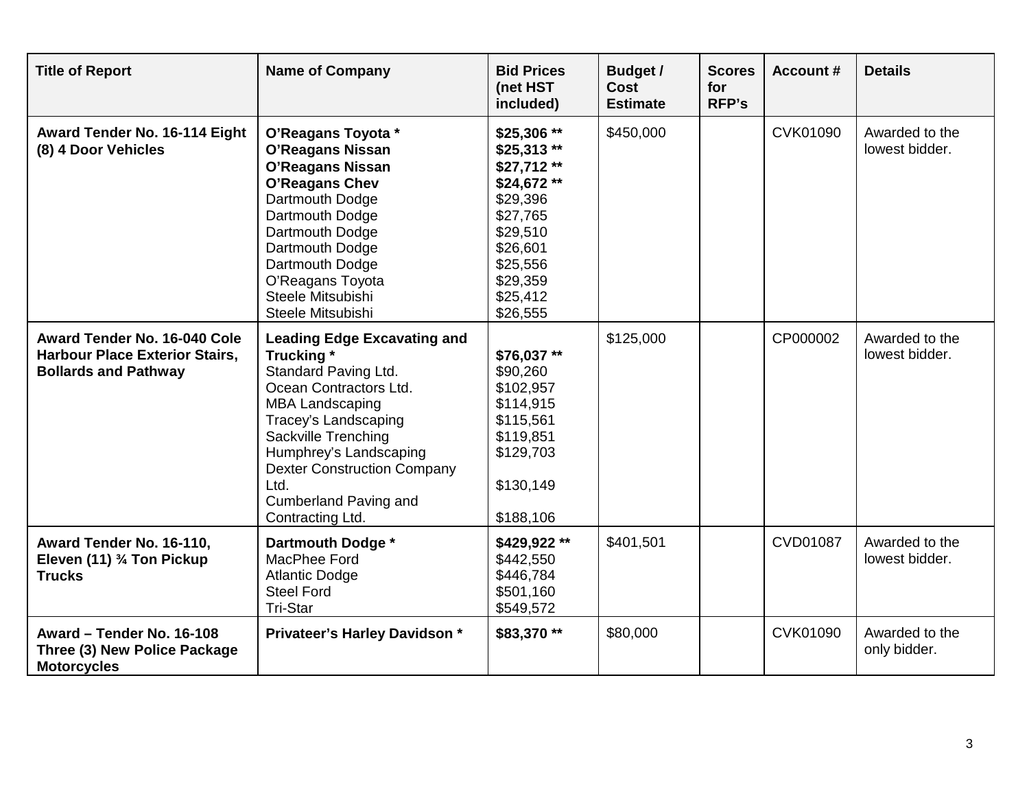| <b>Title of Report</b>                                                                               | <b>Name of Company</b>                                                                                                                                                                                                                                                                                         | <b>Bid Prices</b><br>(net HST<br>included)                                                                                                              | <b>Budget /</b><br><b>Cost</b><br><b>Estimate</b> | <b>Scores</b><br>for<br><b>RFP's</b> | <b>Account #</b> | <b>Details</b>                   |
|------------------------------------------------------------------------------------------------------|----------------------------------------------------------------------------------------------------------------------------------------------------------------------------------------------------------------------------------------------------------------------------------------------------------------|---------------------------------------------------------------------------------------------------------------------------------------------------------|---------------------------------------------------|--------------------------------------|------------------|----------------------------------|
| Award Tender No. 16-114 Eight<br>(8) 4 Door Vehicles                                                 | O'Reagans Toyota *<br><b>O'Reagans Nissan</b><br><b>O'Reagans Nissan</b><br>O'Reagans Chev<br>Dartmouth Dodge<br>Dartmouth Dodge<br>Dartmouth Dodge<br>Dartmouth Dodge<br>Dartmouth Dodge<br>O'Reagans Toyota<br>Steele Mitsubishi<br>Steele Mitsubishi                                                        | \$25,306 **<br>$$25,313**$<br>$$27,712**$<br>\$24,672**<br>\$29,396<br>\$27,765<br>\$29,510<br>\$26,601<br>\$25,556<br>\$29,359<br>\$25,412<br>\$26,555 | \$450,000                                         |                                      | CVK01090         | Awarded to the<br>lowest bidder. |
| Award Tender No. 16-040 Cole<br><b>Harbour Place Exterior Stairs,</b><br><b>Bollards and Pathway</b> | <b>Leading Edge Excavating and</b><br>Trucking *<br>Standard Paving Ltd.<br>Ocean Contractors Ltd.<br><b>MBA Landscaping</b><br>Tracey's Landscaping<br><b>Sackville Trenching</b><br>Humphrey's Landscaping<br><b>Dexter Construction Company</b><br>Ltd.<br><b>Cumberland Paving and</b><br>Contracting Ltd. | \$76,037**<br>\$90,260<br>\$102,957<br>\$114,915<br>\$115,561<br>\$119,851<br>\$129,703<br>\$130,149<br>\$188,106                                       | \$125,000                                         |                                      | CP000002         | Awarded to the<br>lowest bidder. |
| Award Tender No. 16-110,<br>Eleven (11) 3/4 Ton Pickup<br><b>Trucks</b>                              | Dartmouth Dodge *<br>MacPhee Ford<br><b>Atlantic Dodge</b><br><b>Steel Ford</b><br>Tri-Star                                                                                                                                                                                                                    | \$429,922**<br>\$442,550<br>\$446,784<br>\$501,160<br>\$549,572                                                                                         | \$401,501                                         |                                      | <b>CVD01087</b>  | Awarded to the<br>lowest bidder. |
| Award - Tender No. 16-108<br>Three (3) New Police Package<br><b>Motorcycles</b>                      | Privateer's Harley Davidson *                                                                                                                                                                                                                                                                                  | \$83,370**                                                                                                                                              | \$80,000                                          |                                      | CVK01090         | Awarded to the<br>only bidder.   |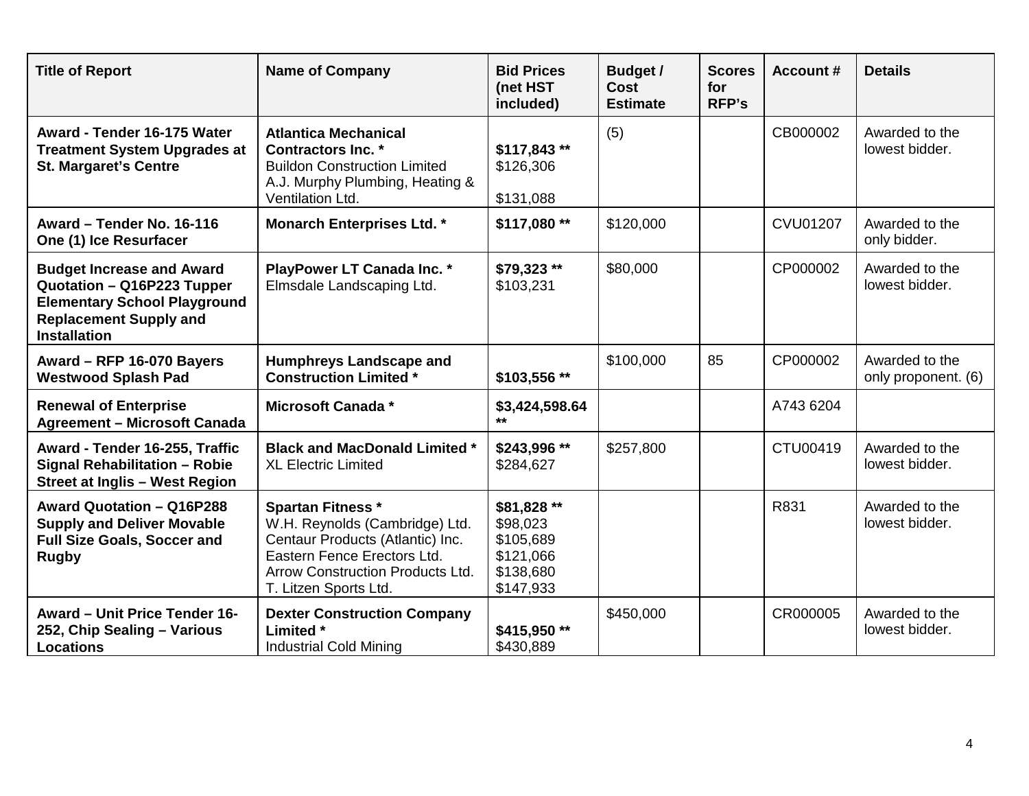| <b>Title of Report</b>                                                                                                                                        | <b>Name of Company</b>                                                                                                                                                                     | <b>Bid Prices</b><br>(net HST<br>included)                                  | <b>Budget /</b><br><b>Cost</b><br><b>Estimate</b> | <b>Scores</b><br>for<br><b>RFP's</b> | <b>Account #</b> | <b>Details</b>                        |
|---------------------------------------------------------------------------------------------------------------------------------------------------------------|--------------------------------------------------------------------------------------------------------------------------------------------------------------------------------------------|-----------------------------------------------------------------------------|---------------------------------------------------|--------------------------------------|------------------|---------------------------------------|
| Award - Tender 16-175 Water<br><b>Treatment System Upgrades at</b><br><b>St. Margaret's Centre</b>                                                            | <b>Atlantica Mechanical</b><br><b>Contractors Inc. *</b><br><b>Buildon Construction Limited</b><br>A.J. Murphy Plumbing, Heating &<br>Ventilation Ltd.                                     | \$117,843**<br>\$126,306<br>\$131,088                                       | (5)                                               |                                      | CB000002         | Awarded to the<br>lowest bidder.      |
| Award - Tender No. 16-116<br>One (1) Ice Resurfacer                                                                                                           | <b>Monarch Enterprises Ltd. *</b>                                                                                                                                                          | \$117,080**                                                                 | \$120,000                                         |                                      | <b>CVU01207</b>  | Awarded to the<br>only bidder.        |
| <b>Budget Increase and Award</b><br>Quotation - Q16P223 Tupper<br><b>Elementary School Playground</b><br><b>Replacement Supply and</b><br><b>Installation</b> | PlayPower LT Canada Inc. *<br>Elmsdale Landscaping Ltd.                                                                                                                                    | \$79,323 **<br>\$103,231                                                    | \$80,000                                          |                                      | CP000002         | Awarded to the<br>lowest bidder.      |
| Award - RFP 16-070 Bayers<br><b>Westwood Splash Pad</b>                                                                                                       | <b>Humphreys Landscape and</b><br><b>Construction Limited *</b>                                                                                                                            | \$103,556 **                                                                | \$100,000                                         | 85                                   | CP000002         | Awarded to the<br>only proponent. (6) |
| <b>Renewal of Enterprise</b><br><b>Agreement - Microsoft Canada</b>                                                                                           | Microsoft Canada *                                                                                                                                                                         | \$3,424,598.64                                                              |                                                   |                                      | A743 6204        |                                       |
| Award - Tender 16-255, Traffic<br><b>Signal Rehabilitation - Robie</b><br><b>Street at Inglis - West Region</b>                                               | <b>Black and MacDonald Limited *</b><br><b>XL Electric Limited</b>                                                                                                                         | \$243,996 **<br>\$284,627                                                   | \$257,800                                         |                                      | CTU00419         | Awarded to the<br>lowest bidder.      |
| Award Quotation - Q16P288<br><b>Supply and Deliver Movable</b><br><b>Full Size Goals, Soccer and</b><br><b>Rugby</b>                                          | <b>Spartan Fitness *</b><br>W.H. Reynolds (Cambridge) Ltd.<br>Centaur Products (Atlantic) Inc.<br>Eastern Fence Erectors Ltd.<br>Arrow Construction Products Ltd.<br>T. Litzen Sports Ltd. | \$81,828 **<br>\$98,023<br>\$105,689<br>\$121,066<br>\$138,680<br>\$147,933 |                                                   |                                      | R831             | Awarded to the<br>lowest bidder.      |
| <b>Award - Unit Price Tender 16-</b><br>252, Chip Sealing - Various<br><b>Locations</b>                                                                       | <b>Dexter Construction Company</b><br>Limited *<br><b>Industrial Cold Mining</b>                                                                                                           | \$415,950**<br>\$430,889                                                    | \$450,000                                         |                                      | CR000005         | Awarded to the<br>lowest bidder.      |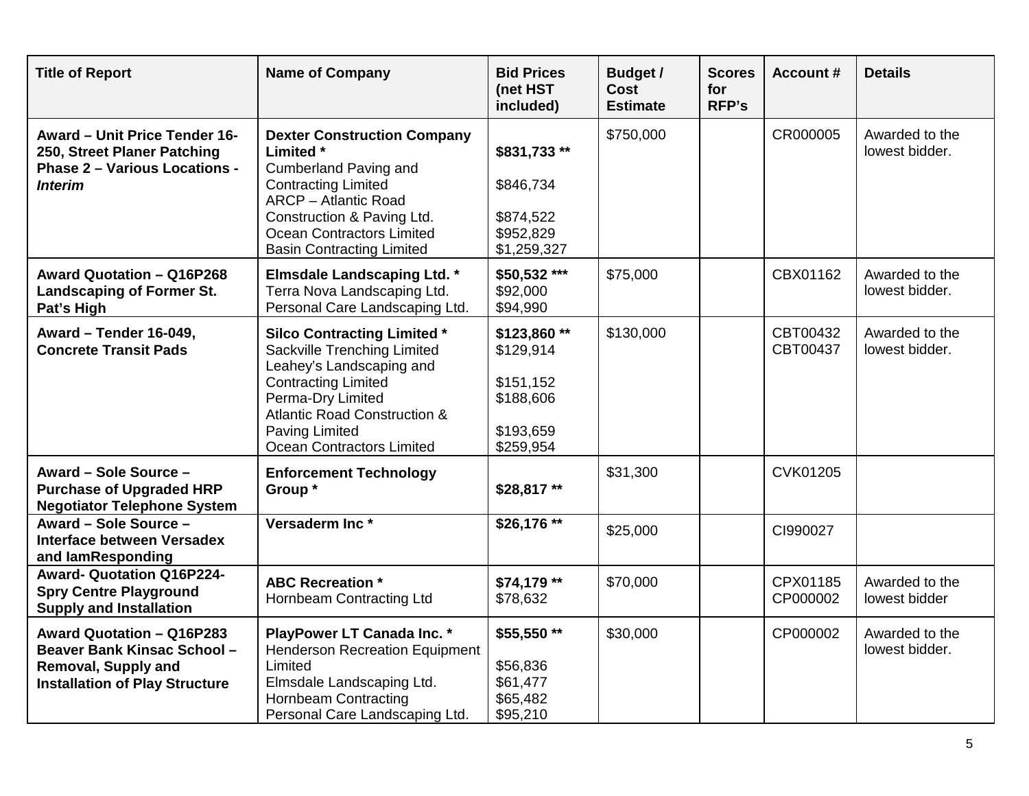| <b>Title of Report</b>                                                                                                          | <b>Name of Company</b>                                                                                                                                                                                                                             | <b>Bid Prices</b><br>(net HST<br>included)                                   | <b>Budget /</b><br>Cost<br><b>Estimate</b> | <b>Scores</b><br>for<br>RFP's | <b>Account #</b>     | <b>Details</b>                   |
|---------------------------------------------------------------------------------------------------------------------------------|----------------------------------------------------------------------------------------------------------------------------------------------------------------------------------------------------------------------------------------------------|------------------------------------------------------------------------------|--------------------------------------------|-------------------------------|----------------------|----------------------------------|
| Award - Unit Price Tender 16-<br>250, Street Planer Patching<br><b>Phase 2 - Various Locations -</b><br><b>Interim</b>          | <b>Dexter Construction Company</b><br>Limited *<br><b>Cumberland Paving and</b><br><b>Contracting Limited</b><br><b>ARCP</b> - Atlantic Road<br>Construction & Paving Ltd.<br><b>Ocean Contractors Limited</b><br><b>Basin Contracting Limited</b> | \$831,733**<br>\$846,734<br>\$874,522<br>\$952,829<br>\$1,259,327            | \$750,000                                  |                               | CR000005             | Awarded to the<br>lowest bidder. |
| Award Quotation - Q16P268<br><b>Landscaping of Former St.</b><br>Pat's High                                                     | <b>Elmsdale Landscaping Ltd. *</b><br>Terra Nova Landscaping Ltd.<br>Personal Care Landscaping Ltd.                                                                                                                                                | \$50,532 ***<br>\$92,000<br>\$94,990                                         | \$75,000                                   |                               | CBX01162             | Awarded to the<br>lowest bidder. |
| Award - Tender 16-049,<br><b>Concrete Transit Pads</b>                                                                          | <b>Silco Contracting Limited *</b><br>Sackville Trenching Limited<br>Leahey's Landscaping and<br><b>Contracting Limited</b><br>Perma-Dry Limited<br><b>Atlantic Road Construction &amp;</b><br>Paving Limited<br><b>Ocean Contractors Limited</b>  | \$123,860**<br>\$129,914<br>\$151,152<br>\$188,606<br>\$193,659<br>\$259,954 | \$130,000                                  |                               | CBT00432<br>CBT00437 | Awarded to the<br>lowest bidder. |
| Award - Sole Source -<br><b>Purchase of Upgraded HRP</b><br><b>Negotiator Telephone System</b>                                  | <b>Enforcement Technology</b><br>Group*                                                                                                                                                                                                            | \$28,817**                                                                   | \$31,300                                   |                               | CVK01205             |                                  |
| Award - Sole Source -<br><b>Interface between Versadex</b><br>and lamResponding                                                 | Versaderm Inc <sup>*</sup>                                                                                                                                                                                                                         | \$26,176 **                                                                  | \$25,000                                   |                               | CI990027             |                                  |
| <b>Award- Quotation Q16P224-</b><br><b>Spry Centre Playground</b><br><b>Supply and Installation</b>                             | <b>ABC Recreation *</b><br>Hornbeam Contracting Ltd                                                                                                                                                                                                | \$74,179 **<br>\$78,632                                                      | \$70,000                                   |                               | CPX01185<br>CP000002 | Awarded to the<br>lowest bidder  |
| Award Quotation - Q16P283<br>Beaver Bank Kinsac School -<br><b>Removal, Supply and</b><br><b>Installation of Play Structure</b> | PlayPower LT Canada Inc. *<br><b>Henderson Recreation Equipment</b><br>Limited<br>Elmsdale Landscaping Ltd.<br><b>Hornbeam Contracting</b><br>Personal Care Landscaping Ltd.                                                                       | \$55,550**<br>\$56,836<br>\$61,477<br>\$65,482<br>\$95,210                   | \$30,000                                   |                               | CP000002             | Awarded to the<br>lowest bidder. |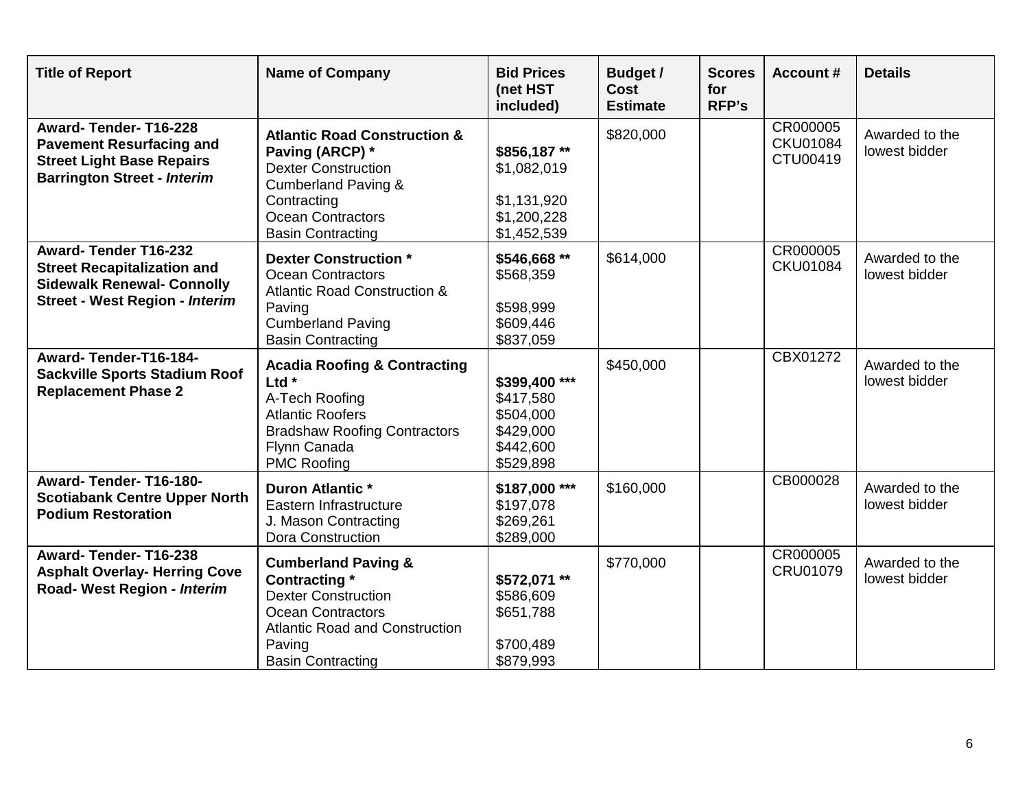| <b>Title of Report</b>                                                                                                                          | <b>Name of Company</b>                                                                                                                                                                            | <b>Bid Prices</b><br>(net HST<br>included)                                     | <b>Budget /</b><br><b>Cost</b><br><b>Estimate</b> | <b>Scores</b><br>for<br><b>RFP's</b> | <b>Account #</b>                        | <b>Details</b>                  |
|-------------------------------------------------------------------------------------------------------------------------------------------------|---------------------------------------------------------------------------------------------------------------------------------------------------------------------------------------------------|--------------------------------------------------------------------------------|---------------------------------------------------|--------------------------------------|-----------------------------------------|---------------------------------|
| Award-Tender-T16-228<br><b>Pavement Resurfacing and</b><br><b>Street Light Base Repairs</b><br><b>Barrington Street - Interim</b>               | <b>Atlantic Road Construction &amp;</b><br>Paving (ARCP) *<br><b>Dexter Construction</b><br><b>Cumberland Paving &amp;</b><br>Contracting<br><b>Ocean Contractors</b><br><b>Basin Contracting</b> | \$856,187**<br>\$1,082,019<br>\$1,131,920<br>\$1,200,228<br>\$1,452,539        | \$820,000                                         |                                      | CR000005<br><b>CKU01084</b><br>CTU00419 | Awarded to the<br>lowest bidder |
| <b>Award-Tender T16-232</b><br><b>Street Recapitalization and</b><br><b>Sidewalk Renewal- Connolly</b><br><b>Street - West Region - Interim</b> | <b>Dexter Construction*</b><br><b>Ocean Contractors</b><br><b>Atlantic Road Construction &amp;</b><br>Paving<br><b>Cumberland Paving</b><br><b>Basin Contracting</b>                              | \$546,668 **<br>\$568,359<br>\$598,999<br>\$609,446<br>\$837,059               | \$614,000                                         |                                      | CR000005<br><b>CKU01084</b>             | Awarded to the<br>lowest bidder |
| Award-Tender-T16-184-<br><b>Sackville Sports Stadium Roof</b><br><b>Replacement Phase 2</b>                                                     | <b>Acadia Roofing &amp; Contracting</b><br>Ltd $*$<br>A-Tech Roofing<br><b>Atlantic Roofers</b><br><b>Bradshaw Roofing Contractors</b><br>Flynn Canada<br><b>PMC Roofing</b>                      | \$399,400 ***<br>\$417,580<br>\$504,000<br>\$429,000<br>\$442,600<br>\$529,898 | \$450,000                                         |                                      | CBX01272                                | Awarded to the<br>lowest bidder |
| Award-Tender-T16-180-<br><b>Scotiabank Centre Upper North</b><br><b>Podium Restoration</b>                                                      | <b>Duron Atlantic *</b><br>Eastern Infrastructure<br>J. Mason Contracting<br>Dora Construction                                                                                                    | \$187,000 ***<br>\$197,078<br>\$269,261<br>\$289,000                           | \$160,000                                         |                                      | CB000028                                | Awarded to the<br>lowest bidder |
| Award-Tender-T16-238<br><b>Asphalt Overlay- Herring Cove</b><br>Road- West Region - Interim                                                     | <b>Cumberland Paving &amp;</b><br><b>Contracting</b> *<br><b>Dexter Construction</b><br><b>Ocean Contractors</b><br><b>Atlantic Road and Construction</b><br>Paving<br><b>Basin Contracting</b>   | \$572,071 **<br>\$586,609<br>\$651,788<br>\$700,489<br>\$879,993               | \$770,000                                         |                                      | CR000005<br>CRU01079                    | Awarded to the<br>lowest bidder |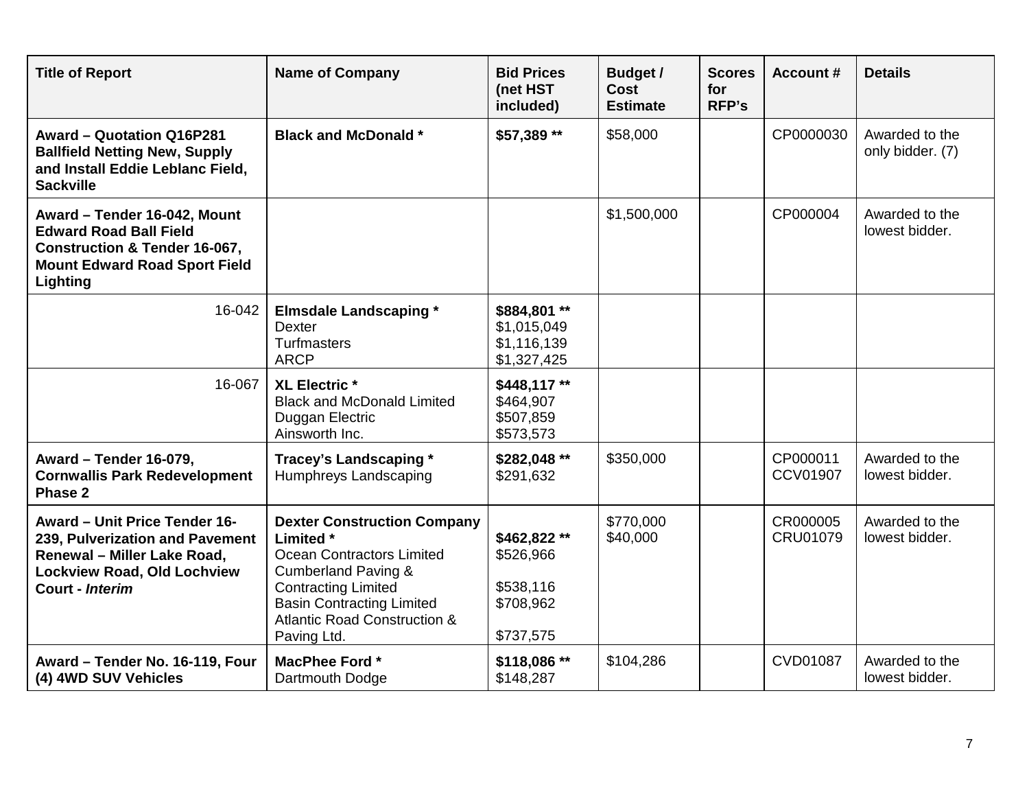| <b>Title of Report</b>                                                                                                                                        | <b>Name of Company</b>                                                                                                                                                                                                                            | <b>Bid Prices</b><br>(net HST<br>included)                      | <b>Budget /</b><br>Cost<br><b>Estimate</b> | <b>Scores</b><br>for<br><b>RFP's</b> | <b>Account #</b>            | <b>Details</b>                     |
|---------------------------------------------------------------------------------------------------------------------------------------------------------------|---------------------------------------------------------------------------------------------------------------------------------------------------------------------------------------------------------------------------------------------------|-----------------------------------------------------------------|--------------------------------------------|--------------------------------------|-----------------------------|------------------------------------|
| Award - Quotation Q16P281<br><b>Ballfield Netting New, Supply</b><br>and Install Eddie Leblanc Field,<br><b>Sackville</b>                                     | <b>Black and McDonald *</b>                                                                                                                                                                                                                       | \$57,389 **                                                     | \$58,000                                   |                                      | CP0000030                   | Awarded to the<br>only bidder. (7) |
| Award - Tender 16-042, Mount<br><b>Edward Road Ball Field</b><br><b>Construction &amp; Tender 16-067,</b><br><b>Mount Edward Road Sport Field</b><br>Lighting |                                                                                                                                                                                                                                                   |                                                                 | \$1,500,000                                |                                      | CP000004                    | Awarded to the<br>lowest bidder.   |
| 16-042                                                                                                                                                        | <b>Elmsdale Landscaping *</b><br><b>Dexter</b><br><b>Turfmasters</b><br><b>ARCP</b>                                                                                                                                                               | \$884,801**<br>\$1,015,049<br>\$1,116,139<br>\$1,327,425        |                                            |                                      |                             |                                    |
| 16-067                                                                                                                                                        | <b>XL Electric *</b><br><b>Black and McDonald Limited</b><br>Duggan Electric<br>Ainsworth Inc.                                                                                                                                                    | \$448,117**<br>\$464,907<br>\$507,859<br>\$573,573              |                                            |                                      |                             |                                    |
| Award - Tender 16-079,<br><b>Cornwallis Park Redevelopment</b><br>Phase 2                                                                                     | Tracey's Landscaping *<br>Humphreys Landscaping                                                                                                                                                                                                   | \$282,048 **<br>\$291,632                                       | \$350,000                                  |                                      | CP000011<br><b>CCV01907</b> | Awarded to the<br>lowest bidder.   |
| Award - Unit Price Tender 16-<br>239, Pulverization and Pavement<br>Renewal - Miller Lake Road,<br><b>Lockview Road, Old Lochview</b><br>Court - Interim      | <b>Dexter Construction Company</b><br>Limited *<br><b>Ocean Contractors Limited</b><br><b>Cumberland Paving &amp;</b><br><b>Contracting Limited</b><br><b>Basin Contracting Limited</b><br><b>Atlantic Road Construction &amp;</b><br>Paving Ltd. | \$462,822**<br>\$526,966<br>\$538,116<br>\$708,962<br>\$737,575 | \$770,000<br>\$40,000                      |                                      | CR000005<br>CRU01079        | Awarded to the<br>lowest bidder.   |
| Award - Tender No. 16-119, Four<br>(4) 4WD SUV Vehicles                                                                                                       | MacPhee Ford *<br>Dartmouth Dodge                                                                                                                                                                                                                 | \$118,086**<br>\$148,287                                        | \$104,286                                  |                                      | <b>CVD01087</b>             | Awarded to the<br>lowest bidder.   |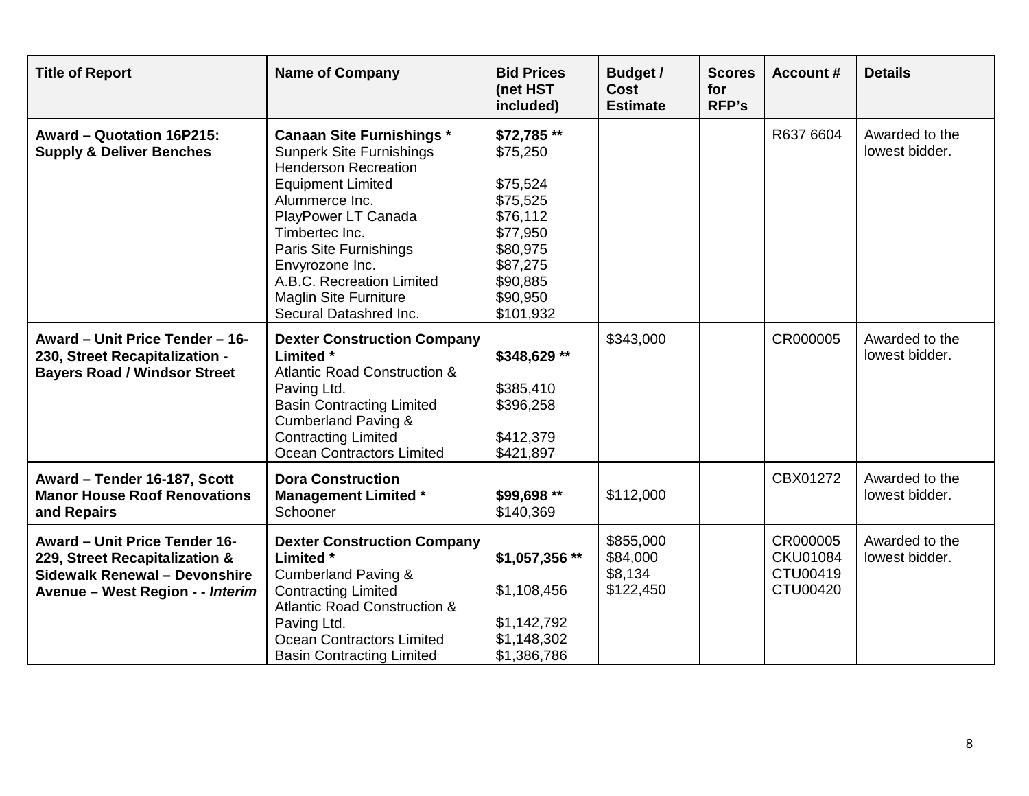| <b>Title of Report</b>                                                                                                               | <b>Name of Company</b>                                                                                                                                                                                                                                                                                                        | <b>Bid Prices</b><br>(net HST<br>included)                                                                                          | <b>Budget /</b><br><b>Cost</b><br><b>Estimate</b> | <b>Scores</b><br>for<br><b>RFP's</b> | <b>Account#</b>                                     | <b>Details</b>                   |
|--------------------------------------------------------------------------------------------------------------------------------------|-------------------------------------------------------------------------------------------------------------------------------------------------------------------------------------------------------------------------------------------------------------------------------------------------------------------------------|-------------------------------------------------------------------------------------------------------------------------------------|---------------------------------------------------|--------------------------------------|-----------------------------------------------------|----------------------------------|
| Award - Quotation 16P215:<br><b>Supply &amp; Deliver Benches</b>                                                                     | <b>Canaan Site Furnishings *</b><br><b>Sunperk Site Furnishings</b><br><b>Henderson Recreation</b><br><b>Equipment Limited</b><br>Alummerce Inc.<br>PlayPower LT Canada<br>Timbertec Inc.<br>Paris Site Furnishings<br>Envyrozone Inc.<br>A.B.C. Recreation Limited<br><b>Maglin Site Furniture</b><br>Secural Datashred Inc. | \$72,785**<br>\$75,250<br>\$75,524<br>\$75,525<br>\$76,112<br>\$77,950<br>\$80,975<br>\$87,275<br>\$90,885<br>\$90,950<br>\$101,932 |                                                   |                                      | R637 6604                                           | Awarded to the<br>lowest bidder. |
| Award - Unit Price Tender - 16-<br>230, Street Recapitalization -<br><b>Bayers Road / Windsor Street</b>                             | <b>Dexter Construction Company</b><br>Limited *<br><b>Atlantic Road Construction &amp;</b><br>Paving Ltd.<br><b>Basin Contracting Limited</b><br><b>Cumberland Paving &amp;</b><br><b>Contracting Limited</b><br>Ocean Contractors Limited                                                                                    | \$348,629 **<br>\$385,410<br>\$396,258<br>\$412,379<br>\$421,897                                                                    | \$343,000                                         |                                      | CR000005                                            | Awarded to the<br>lowest bidder. |
| Award - Tender 16-187, Scott<br><b>Manor House Roof Renovations</b><br>and Repairs                                                   | <b>Dora Construction</b><br><b>Management Limited *</b><br>Schooner                                                                                                                                                                                                                                                           | \$99,698 **<br>\$140,369                                                                                                            | \$112,000                                         |                                      | CBX01272                                            | Awarded to the<br>lowest bidder. |
| Award - Unit Price Tender 16-<br>229, Street Recapitalization &<br>Sidewalk Renewal - Devonshire<br>Avenue - West Region - - Interim | <b>Dexter Construction Company</b><br>Limited *<br><b>Cumberland Paving &amp;</b><br><b>Contracting Limited</b><br><b>Atlantic Road Construction &amp;</b><br>Paving Ltd.<br><b>Ocean Contractors Limited</b><br><b>Basin Contracting Limited</b>                                                                             | \$1,057,356 **<br>\$1,108,456<br>\$1,142,792<br>\$1,148,302<br>\$1,386,786                                                          | \$855,000<br>\$84,000<br>\$8,134<br>\$122,450     |                                      | CR000005<br><b>CKU01084</b><br>CTU00419<br>CTU00420 | Awarded to the<br>lowest bidder. |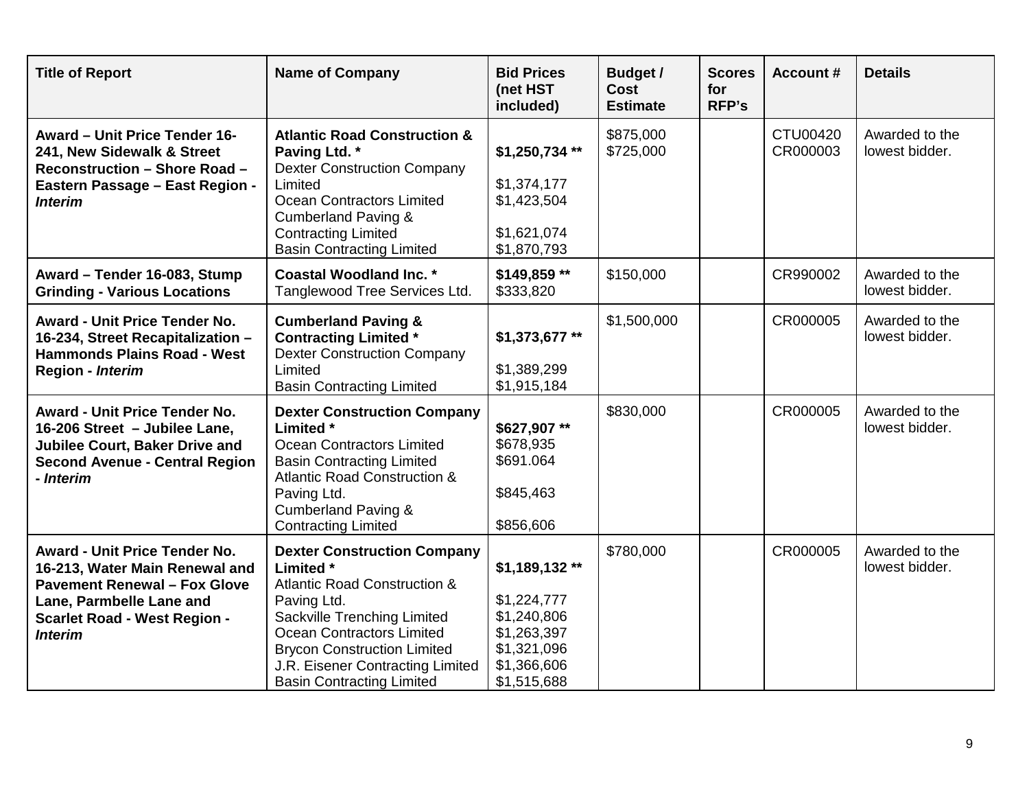| <b>Title of Report</b>                                                                                                                                                                             | <b>Name of Company</b>                                                                                                                                                                                                                                                              | <b>Bid Prices</b><br>(net HST<br>included)                                                              | <b>Budget /</b><br><b>Cost</b><br><b>Estimate</b> | <b>Scores</b><br>for<br><b>RFP's</b> | <b>Account #</b>     | <b>Details</b>                   |
|----------------------------------------------------------------------------------------------------------------------------------------------------------------------------------------------------|-------------------------------------------------------------------------------------------------------------------------------------------------------------------------------------------------------------------------------------------------------------------------------------|---------------------------------------------------------------------------------------------------------|---------------------------------------------------|--------------------------------------|----------------------|----------------------------------|
| <b>Award - Unit Price Tender 16-</b><br>241, New Sidewalk & Street<br><b>Reconstruction - Shore Road -</b><br>Eastern Passage - East Region -<br><b>Interim</b>                                    | <b>Atlantic Road Construction &amp;</b><br>Paving Ltd. *<br><b>Dexter Construction Company</b><br>Limited<br><b>Ocean Contractors Limited</b><br><b>Cumberland Paving &amp;</b><br><b>Contracting Limited</b><br><b>Basin Contracting Limited</b>                                   | \$1,250,734**<br>\$1,374,177<br>\$1,423,504<br>\$1,621,074<br>\$1,870,793                               | \$875,000<br>\$725,000                            |                                      | CTU00420<br>CR000003 | Awarded to the<br>lowest bidder. |
| Award - Tender 16-083, Stump<br><b>Grinding - Various Locations</b>                                                                                                                                | <b>Coastal Woodland Inc. *</b><br>Tanglewood Tree Services Ltd.                                                                                                                                                                                                                     | \$149,859**<br>\$333,820                                                                                | \$150,000                                         |                                      | CR990002             | Awarded to the<br>lowest bidder. |
| <b>Award - Unit Price Tender No.</b><br>16-234, Street Recapitalization -<br><b>Hammonds Plains Road - West</b><br>Region - Interim                                                                | <b>Cumberland Paving &amp;</b><br><b>Contracting Limited *</b><br><b>Dexter Construction Company</b><br>Limited<br><b>Basin Contracting Limited</b>                                                                                                                                 | \$1,373,677**<br>\$1,389,299<br>\$1,915,184                                                             | \$1,500,000                                       |                                      | CR000005             | Awarded to the<br>lowest bidder. |
| <b>Award - Unit Price Tender No.</b><br>16-206 Street - Jubilee Lane,<br>Jubilee Court, Baker Drive and<br><b>Second Avenue - Central Region</b><br>- Interim                                      | <b>Dexter Construction Company</b><br><b>Limited</b> *<br>Ocean Contractors Limited<br><b>Basin Contracting Limited</b><br><b>Atlantic Road Construction &amp;</b><br>Paving Ltd.<br><b>Cumberland Paving &amp;</b><br><b>Contracting Limited</b>                                   | \$627,907**<br>\$678,935<br>\$691.064<br>\$845,463<br>\$856,606                                         | \$830,000                                         |                                      | CR000005             | Awarded to the<br>lowest bidder. |
| <b>Award - Unit Price Tender No.</b><br>16-213, Water Main Renewal and<br><b>Pavement Renewal - Fox Glove</b><br>Lane, Parmbelle Lane and<br><b>Scarlet Road - West Region -</b><br><b>Interim</b> | <b>Dexter Construction Company</b><br>Limited *<br><b>Atlantic Road Construction &amp;</b><br>Paving Ltd.<br>Sackville Trenching Limited<br>Ocean Contractors Limited<br><b>Brycon Construction Limited</b><br>J.R. Eisener Contracting Limited<br><b>Basin Contracting Limited</b> | \$1,189,132**<br>\$1,224,777<br>\$1,240,806<br>\$1,263,397<br>\$1,321,096<br>\$1,366,606<br>\$1,515,688 | \$780,000                                         |                                      | CR000005             | Awarded to the<br>lowest bidder. |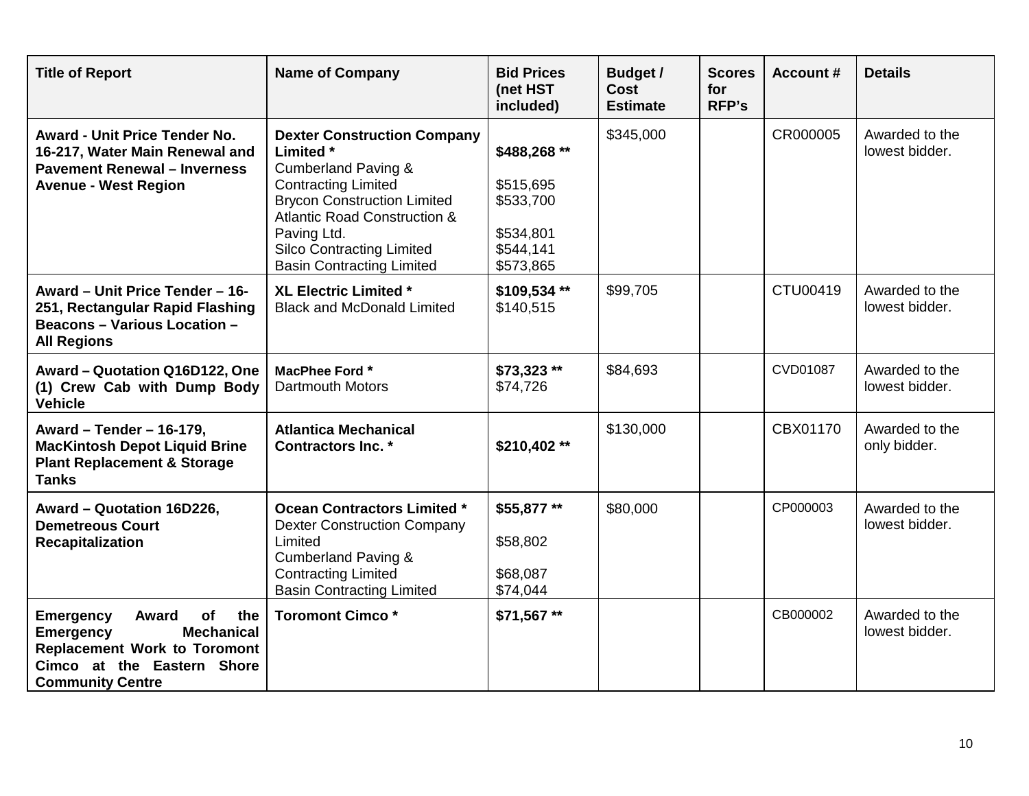| <b>Title of Report</b>                                                                                                                                                          | <b>Name of Company</b>                                                                                                                                                                                                                                                                  | <b>Bid Prices</b><br>(net HST<br>included)                                    | <b>Budget /</b><br><b>Cost</b><br><b>Estimate</b> | <b>Scores</b><br>for<br><b>RFP's</b> | <b>Account #</b> | <b>Details</b>                   |
|---------------------------------------------------------------------------------------------------------------------------------------------------------------------------------|-----------------------------------------------------------------------------------------------------------------------------------------------------------------------------------------------------------------------------------------------------------------------------------------|-------------------------------------------------------------------------------|---------------------------------------------------|--------------------------------------|------------------|----------------------------------|
| <b>Award - Unit Price Tender No.</b><br>16-217, Water Main Renewal and<br><b>Pavement Renewal - Inverness</b><br><b>Avenue - West Region</b>                                    | <b>Dexter Construction Company</b><br>Limited *<br><b>Cumberland Paving &amp;</b><br><b>Contracting Limited</b><br><b>Brycon Construction Limited</b><br><b>Atlantic Road Construction &amp;</b><br>Paving Ltd.<br><b>Silco Contracting Limited</b><br><b>Basin Contracting Limited</b> | \$488,268 **<br>\$515,695<br>\$533,700<br>\$534,801<br>\$544,141<br>\$573,865 | \$345,000                                         |                                      | CR000005         | Awarded to the<br>lowest bidder. |
| Award - Unit Price Tender - 16-<br>251, Rectangular Rapid Flashing<br><b>Beacons - Various Location -</b><br><b>All Regions</b>                                                 | XL Electric Limited *<br><b>Black and McDonald Limited</b>                                                                                                                                                                                                                              | \$109,534**<br>\$140,515                                                      | \$99,705                                          |                                      | CTU00419         | Awarded to the<br>lowest bidder. |
| Award - Quotation Q16D122, One<br>(1) Crew Cab with Dump Body<br><b>Vehicle</b>                                                                                                 | MacPhee Ford *<br><b>Dartmouth Motors</b>                                                                                                                                                                                                                                               | \$73,323 **<br>\$74,726                                                       | \$84,693                                          |                                      | CVD01087         | Awarded to the<br>lowest bidder. |
| Award - Tender - 16-179,<br><b>MacKintosh Depot Liquid Brine</b><br><b>Plant Replacement &amp; Storage</b><br><b>Tanks</b>                                                      | <b>Atlantica Mechanical</b><br><b>Contractors Inc. *</b>                                                                                                                                                                                                                                | \$210,402 **                                                                  | \$130,000                                         |                                      | CBX01170         | Awarded to the<br>only bidder.   |
| Award - Quotation 16D226,<br><b>Demetreous Court</b><br><b>Recapitalization</b>                                                                                                 | <b>Ocean Contractors Limited *</b><br><b>Dexter Construction Company</b><br>Limited<br><b>Cumberland Paving &amp;</b><br><b>Contracting Limited</b><br><b>Basin Contracting Limited</b>                                                                                                 | \$55,877**<br>\$58,802<br>\$68,087<br>\$74,044                                | \$80,000                                          |                                      | CP000003         | Awarded to the<br>lowest bidder. |
| <b>Emergency</b><br>of<br>the<br>Award<br><b>Mechanical</b><br><b>Emergency</b><br><b>Replacement Work to Toromont</b><br>Cimco at the Eastern Shore<br><b>Community Centre</b> | <b>Toromont Cimco*</b>                                                                                                                                                                                                                                                                  | \$71,567 **                                                                   |                                                   |                                      | CB000002         | Awarded to the<br>lowest bidder. |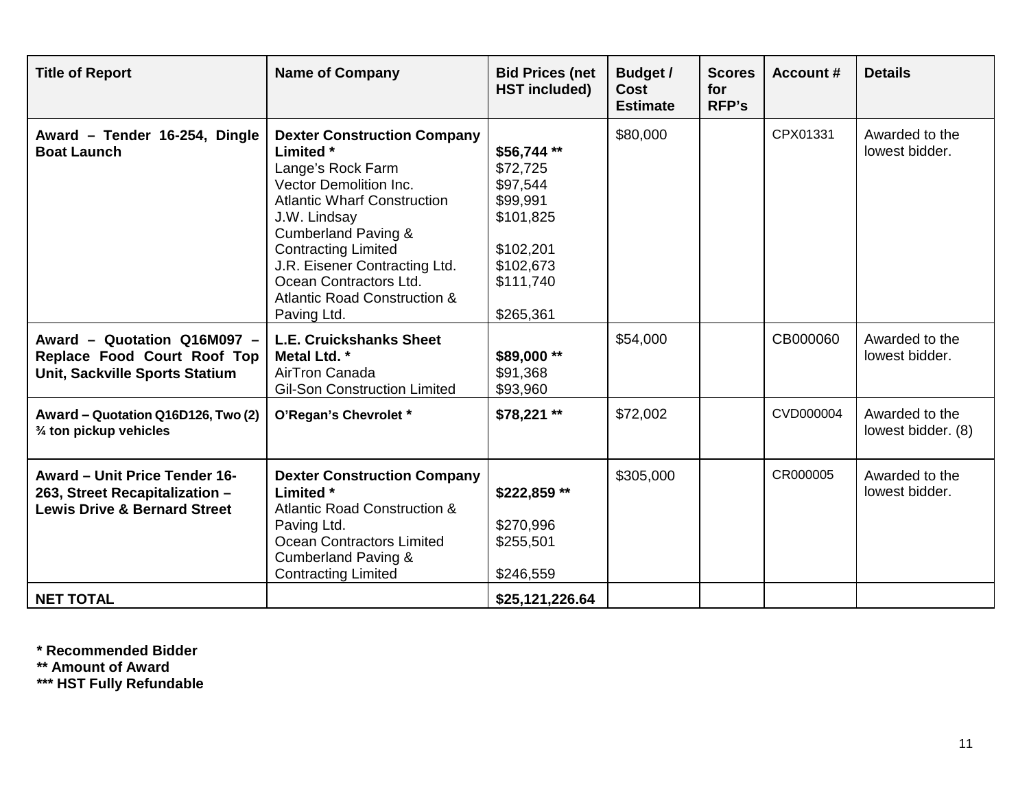| <b>Title of Report</b>                                                                                            | <b>Name of Company</b>                                                                                                                                                                                                                                                                                                                           | <b>Bid Prices (net</b><br><b>HST included)</b>                                                                  | <b>Budget /</b><br><b>Cost</b><br><b>Estimate</b> | <b>Scores</b><br>for<br><b>RFP's</b> | <b>Account #</b> | <b>Details</b>                       |
|-------------------------------------------------------------------------------------------------------------------|--------------------------------------------------------------------------------------------------------------------------------------------------------------------------------------------------------------------------------------------------------------------------------------------------------------------------------------------------|-----------------------------------------------------------------------------------------------------------------|---------------------------------------------------|--------------------------------------|------------------|--------------------------------------|
| Award - Tender 16-254, Dingle<br><b>Boat Launch</b>                                                               | <b>Dexter Construction Company</b><br>Limited *<br>Lange's Rock Farm<br><b>Vector Demolition Inc.</b><br><b>Atlantic Wharf Construction</b><br>J.W. Lindsay<br><b>Cumberland Paving &amp;</b><br><b>Contracting Limited</b><br>J.R. Eisener Contracting Ltd.<br>Ocean Contractors Ltd.<br><b>Atlantic Road Construction &amp;</b><br>Paving Ltd. | \$56,744**<br>\$72,725<br>\$97,544<br>\$99,991<br>\$101,825<br>\$102,201<br>\$102,673<br>\$111,740<br>\$265,361 | \$80,000                                          |                                      | CPX01331         | Awarded to the<br>lowest bidder.     |
| Award - Quotation Q16M097 -<br>Replace Food Court Roof Top<br>Unit, Sackville Sports Statium                      | <b>L.E. Cruickshanks Sheet</b><br>Metal Ltd. *<br>AirTron Canada<br><b>Gil-Son Construction Limited</b>                                                                                                                                                                                                                                          | \$89,000**<br>\$91,368<br>\$93,960                                                                              | \$54,000                                          |                                      | CB000060         | Awarded to the<br>lowest bidder.     |
| Award - Quotation Q16D126, Two (2)<br>3/4 ton pickup vehicles                                                     | O'Regan's Chevrolet *                                                                                                                                                                                                                                                                                                                            | $$78,221**$                                                                                                     | \$72,002                                          |                                      | CVD000004        | Awarded to the<br>lowest bidder. (8) |
| <b>Award - Unit Price Tender 16-</b><br>263, Street Recapitalization -<br><b>Lewis Drive &amp; Bernard Street</b> | <b>Dexter Construction Company</b><br>Limited *<br><b>Atlantic Road Construction &amp;</b><br>Paving Ltd.<br>Ocean Contractors Limited<br><b>Cumberland Paving &amp;</b><br><b>Contracting Limited</b>                                                                                                                                           | \$222,859**<br>\$270,996<br>\$255,501<br>\$246,559                                                              | \$305,000                                         |                                      | CR000005         | Awarded to the<br>lowest bidder.     |
| <b>NET TOTAL</b>                                                                                                  |                                                                                                                                                                                                                                                                                                                                                  | \$25,121,226.64                                                                                                 |                                                   |                                      |                  |                                      |

**\* Recommended Bidder**

**\*\* Amount of Award**

**\*\*\* HST Fully Refundable**